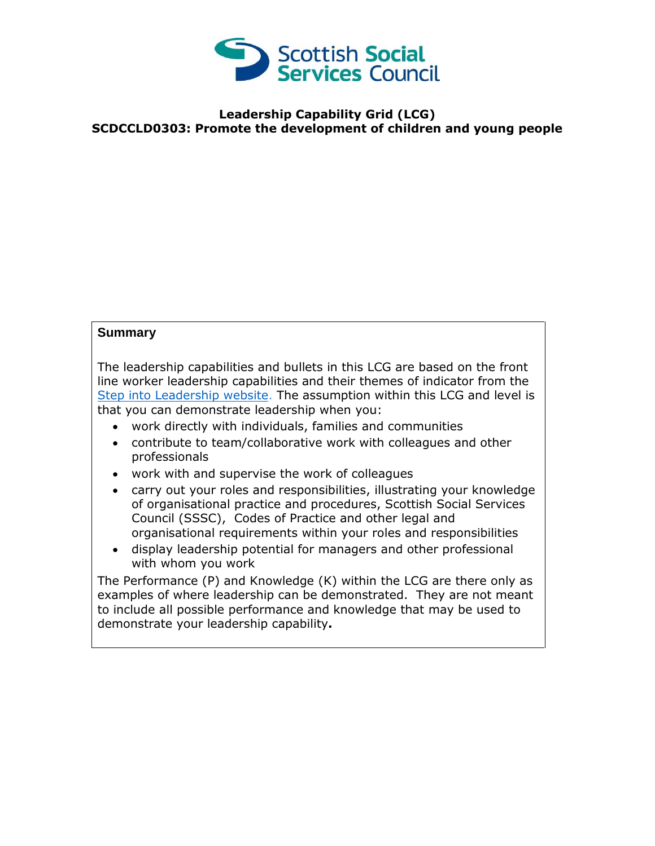

## **Leadership Capability Grid (LCG) SCDCCLD0303: Promote the development of children and young people**

## **Summary**

The leadership capabilities and bullets in this LCG are based on the front line worker leadership capabilities and their themes of indicator from the [Step into Leadership website.](http://www.stepintoleadership.info/) The assumption within this LCG and level is that you can demonstrate leadership when you:

- work directly with individuals, families and communities
- contribute to team/collaborative work with colleagues and other professionals
- work with and supervise the work of colleagues
- carry out your roles and responsibilities, illustrating your knowledge of organisational practice and procedures, Scottish Social Services Council (SSSC), Codes of Practice and other legal and organisational requirements within your roles and responsibilities
- display leadership potential for managers and other professional with whom you work

The Performance (P) and Knowledge (K) within the LCG are there only as examples of where leadership can be demonstrated. They are not meant to include all possible performance and knowledge that may be used to demonstrate your leadership capability**.**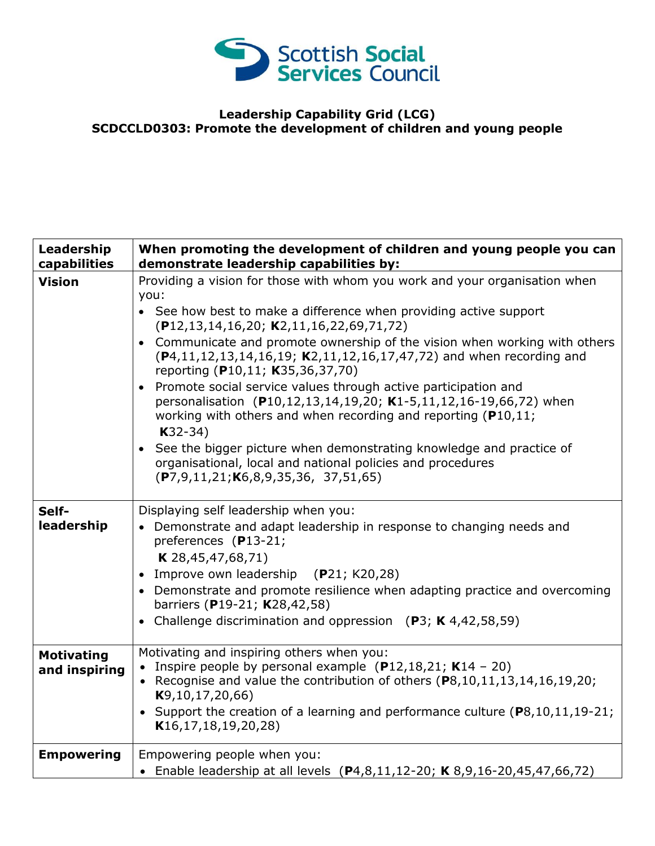

## **Leadership Capability Grid (LCG) SCDCCLD0303: Promote the development of children and young people**

| Leadership<br>capabilities         | When promoting the development of children and young people you can<br>demonstrate leadership capabilities by:                                                                                                                                                                                                                                                                                                                                                                                                                                                                                                                                                                                                                                                                                                           |
|------------------------------------|--------------------------------------------------------------------------------------------------------------------------------------------------------------------------------------------------------------------------------------------------------------------------------------------------------------------------------------------------------------------------------------------------------------------------------------------------------------------------------------------------------------------------------------------------------------------------------------------------------------------------------------------------------------------------------------------------------------------------------------------------------------------------------------------------------------------------|
| <b>Vision</b>                      | Providing a vision for those with whom you work and your organisation when<br>you:<br>• See how best to make a difference when providing active support<br>$(P12, 13, 14, 16, 20; K2, 11, 16, 22, 69, 71, 72)$<br>• Communicate and promote ownership of the vision when working with others<br>(P4,11,12,13,14,16,19; K2,11,12,16,17,47,72) and when recording and<br>reporting (P10,11; K35,36,37,70)<br>• Promote social service values through active participation and<br>personalisation (P10,12,13,14,19,20; K1-5,11,12,16-19,66,72) when<br>working with others and when recording and reporting (P10,11;<br>$K32-34)$<br>• See the bigger picture when demonstrating knowledge and practice of<br>organisational, local and national policies and procedures<br>$(P7, 9, 11, 21; K6, 8, 9, 35, 36, 37, 51, 65)$ |
| Self-<br>leadership                | Displaying self leadership when you:<br>• Demonstrate and adapt leadership in response to changing needs and<br>preferences (P13-21;<br><b>K</b> 28,45,47,68,71)<br>• Improve own leadership (P21; K20,28)<br>• Demonstrate and promote resilience when adapting practice and overcoming<br>barriers (P19-21; K28,42,58)<br>• Challenge discrimination and oppression (P3; K 4,42,58,59)                                                                                                                                                                                                                                                                                                                                                                                                                                 |
| <b>Motivating</b><br>and inspiring | Motivating and inspiring others when you:<br>• Inspire people by personal example $(P12, 18, 21; K14 - 20)$<br>• Recognise and value the contribution of others (P8,10,11,13,14,16,19,20;<br>K9, 10, 17, 20, 66<br>• Support the creation of a learning and performance culture (P8,10,11,19-21;<br>K16, 17, 18, 19, 20, 28                                                                                                                                                                                                                                                                                                                                                                                                                                                                                              |
| <b>Empowering</b>                  | Empowering people when you:<br>• Enable leadership at all levels (P4,8,11,12-20; K 8,9,16-20,45,47,66,72)                                                                                                                                                                                                                                                                                                                                                                                                                                                                                                                                                                                                                                                                                                                |